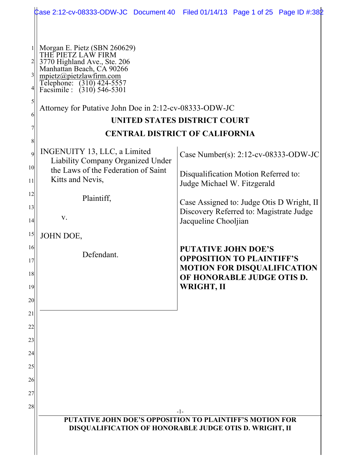|                               | Case 2:12-cv-08333-ODW-JC Document 40                                                                                                                                                                                                                           | Filed 01/14/13 Page 1 of 25 Page ID #:382                                                                                                        |
|-------------------------------|-----------------------------------------------------------------------------------------------------------------------------------------------------------------------------------------------------------------------------------------------------------------|--------------------------------------------------------------------------------------------------------------------------------------------------|
| $\frac{3}{2}$<br>41<br>5<br>6 | Morgan E. Pietz (SBN 260629)<br>THE PIETZ LAW FIRM<br>3770 Highland Ave., Ste. 206<br>Manhattan Beach, CA 90266<br>mpietz@pietzlawfirm.com<br>Telephone: (310) 424-5557<br>Facsimile : (310) 546-5301<br>Attorney for Putative John Doe in 2:12-cv-08333-ODW-JC | UNITED STATES DISTRICT COURT<br><b>CENTRAL DISTRICT OF CALIFORNIA</b>                                                                            |
| 8                             |                                                                                                                                                                                                                                                                 |                                                                                                                                                  |
| 9                             | INGENUITY 13, LLC, a Limited<br>Liability Company Organized Under                                                                                                                                                                                               | Case Number(s): $2:12$ -cv-08333-ODW-JC                                                                                                          |
| 10 <sup>1</sup>               | the Laws of the Federation of Saint                                                                                                                                                                                                                             | Disqualification Motion Referred to:                                                                                                             |
| 11                            | Kitts and Nevis,                                                                                                                                                                                                                                                | Judge Michael W. Fitzgerald                                                                                                                      |
| 12<br>13                      | Plaintiff,                                                                                                                                                                                                                                                      | Case Assigned to: Judge Otis D Wright, II                                                                                                        |
| 14                            | V.                                                                                                                                                                                                                                                              | Discovery Referred to: Magistrate Judge<br>Jacqueline Chooljian                                                                                  |
| 15                            | JOHN DOE,                                                                                                                                                                                                                                                       |                                                                                                                                                  |
| 16<br>17<br>18<br>19<br>20    | Defendant.                                                                                                                                                                                                                                                      | <b>PUTATIVE JOHN DOE'S</b><br><b>OPPOSITION TO PLAINTIFF'S</b><br><b>MOTION FOR DISQUALIFICATION</b><br>OF HONORABLE JUDGE OTIS D.<br>WRIGHT, II |
| 21                            |                                                                                                                                                                                                                                                                 |                                                                                                                                                  |
| 22                            |                                                                                                                                                                                                                                                                 |                                                                                                                                                  |
| 23                            |                                                                                                                                                                                                                                                                 |                                                                                                                                                  |
| 24                            |                                                                                                                                                                                                                                                                 |                                                                                                                                                  |
| 25                            |                                                                                                                                                                                                                                                                 |                                                                                                                                                  |
| 26                            |                                                                                                                                                                                                                                                                 |                                                                                                                                                  |
| 27<br>28                      |                                                                                                                                                                                                                                                                 |                                                                                                                                                  |
|                               |                                                                                                                                                                                                                                                                 | $-1-$<br>PUTATIVE JOHN DOE'S OPPOSITION TO PLAINTIFF'S MOTION FOR<br>DISQUALIFICATION OF HONORABLE JUDGE OTIS D. WRIGHT, II                      |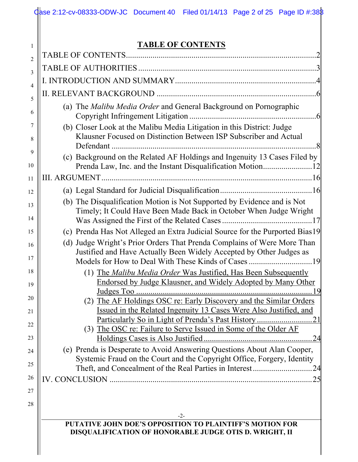| <b>TABLE OF CONTENTS</b>                                                                                                                                 |
|----------------------------------------------------------------------------------------------------------------------------------------------------------|
|                                                                                                                                                          |
|                                                                                                                                                          |
|                                                                                                                                                          |
|                                                                                                                                                          |
| (a) The Malibu Media Order and General Background on Pornographic                                                                                        |
| (b) Closer Look at the Malibu Media Litigation in this District: Judge<br>Klausner Focused on Distinction Between ISP Subscriber and Actual<br>Defendant |
| (c) Background on the Related AF Holdings and Ingenuity 13 Cases Filed by                                                                                |
|                                                                                                                                                          |
| (b) The Disqualification Motion is Not Supported by Evidence and is Not                                                                                  |
| Timely; It Could Have Been Made Back in October When Judge Wright                                                                                        |
| (c) Prenda Has Not Alleged an Extra Judicial Source for the Purported Bias 19                                                                            |
| (d) Judge Wright's Prior Orders That Prenda Complains of Were More Than<br>Justified and Have Actually Been Widely Accepted by Other Judges as           |
| (1) The Malibu Media Order Was Justified, Has Been Subsequently<br>Endorsed by Judge Klausner, and Widely Adopted by Many Other                          |
| (2) The AF Holdings OSC re: Early Discovery and the Similar Orders                                                                                       |
| Issued in the Related Ingenuity 13 Cases Were Also Justified, and                                                                                        |
| (3) The OSC re: Failure to Serve Issued in Some of the Older AF                                                                                          |
|                                                                                                                                                          |
| (e) Prenda is Desperate to Avoid Answering Questions About Alan Cooper,                                                                                  |
| Systemic Fraud on the Court and the Copyright Office, Forgery, Identity                                                                                  |
| Theft, and Concealment of the Real Parties in Interest24                                                                                                 |
|                                                                                                                                                          |
|                                                                                                                                                          |
| $-2-$                                                                                                                                                    |
| PUTATIVE JOHN DOE'S OPPOSITION TO PLAINTIFF'S MOTION FOR<br>DISQUALIFICATION OF HONORABLE JUDGE OTIS D. WRIGHT, II                                       |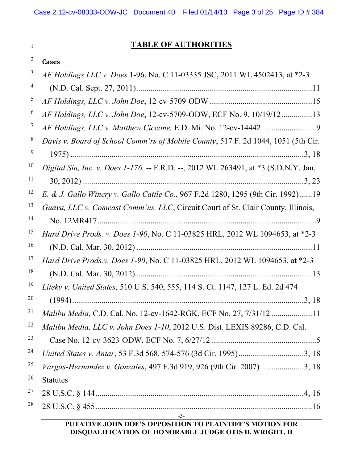## **TABLE OF AUTHORITIES**

#### 2 **Cases**

| 3  | AF Holdings LLC v. Does 1-96, No. C 11-03335 JSC, 2011 WL 4502413, at *2-3          |
|----|-------------------------------------------------------------------------------------|
| 4  |                                                                                     |
| 5  |                                                                                     |
| 6  | AF Holdings, LLC v. John Doe, 12-cv-5709-ODW, ECF No. 9, 10/19/1213                 |
| 7  |                                                                                     |
| 8  | Davis v. Board of School Comm'rs of Mobile County, 517 F. 2d 1044, 1051 (5th Cir.   |
| 9  |                                                                                     |
| 10 | Digital Sin, Inc. v. Does 1-176, -- F.R.D. --, 2012 WL 263491, at *3 (S.D.N.Y. Jan. |
| 11 |                                                                                     |
| 12 | E. & J. Gallo Winery v. Gallo Cattle Co., 967 F.2d 1280, 1295 (9th Cir. 1992) 19    |
| 13 | Guava, LLC v. Comcast Comm'ns, LLC, Circuit Court of St. Clair County, Illinois,    |
| 14 |                                                                                     |
| 15 | Hard Drive Prods. v. Does 1-90, No. C 11-03825 HRL, 2012 WL 1094653, at *2-3        |
| 16 |                                                                                     |
| 17 | <i>Hard Drive Prods.v. Does 1-90, No. C 11-03825 HRL, 2012 WL 1094653, at *2-3</i>  |
| 18 |                                                                                     |
| 19 | Liteky v. United States, 510 U.S. 540, 555, 114 S. Ct. 1147, 127 L. Ed. 2d 474      |
| 20 |                                                                                     |
| 21 | Malibu Media, C.D. Cal. No. 12-cv-1642-RGK, ECF No. 27, 7/31/1211                   |
| 22 | Malibu Media, LLC v. John Does 1-10, 2012 U.S. Dist. LEXIS 89286, C.D. Cal.         |
| 23 |                                                                                     |
| 24 |                                                                                     |
| 25 | Vargas-Hernandez v. Gonzales, 497 F.3d 919, 926 (9th Cir. 2007) 3, 18               |
| 26 | <b>Statutes</b>                                                                     |
| 27 |                                                                                     |
| 28 |                                                                                     |
|    | $-3-$<br>PUTATIVE JOHN DOE'S OPPOSITION TO PLAINTIFF'S MOTION FOR                   |
|    | DISQUALIFICATION OF HONORABLE JUDGE OTIS D. WRIGHT, II                              |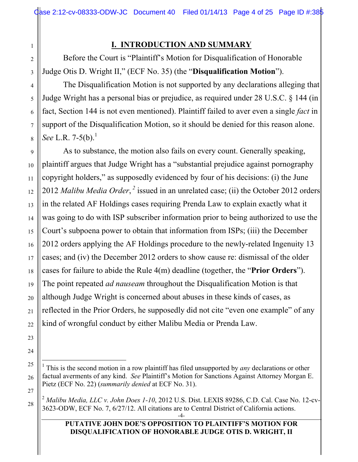### **I. INTRODUCTION AND SUMMARY**

Before the Court is "Plaintiff's Motion for Disqualification of Honorable Judge Otis D. Wright II," (ECF No. 35) (the "**Disqualification Motion**").

The Disqualification Motion is not supported by any declarations alleging that Judge Wright has a personal bias or prejudice, as required under 28 U.S.C. § 144 (in fact, Section 144 is not even mentioned). Plaintiff failed to aver even a single *fact* in support of the Disqualification Motion, so it should be denied for this reason alone. *See* L.R. 7-5(b). 1

As to substance, the motion also fails on every count. Generally speaking, plaintiff argues that Judge Wright has a "substantial prejudice against pornography copyright holders," as supposedly evidenced by four of his decisions: (i) the June 2012 *Malibu Media Order*, <sup>2</sup> issued in an unrelated case; (ii) the October 2012 orders in the related AF Holdings cases requiring Prenda Law to explain exactly what it was going to do with ISP subscriber information prior to being authorized to use the Court's subpoena power to obtain that information from ISPs; (iii) the December 2012 orders applying the AF Holdings procedure to the newly-related Ingenuity 13 cases; and (iv) the December 2012 orders to show cause re: dismissal of the older cases for failure to abide the Rule 4(m) deadline (together, the "**Prior Orders**"). The point repeated *ad nauseam* throughout the Disqualification Motion is that although Judge Wright is concerned about abuses in these kinds of cases, as reflected in the Prior Orders, he supposedly did not cite "even one example" of any kind of wrongful conduct by either Malibu Media or Prenda Law.

#### **PUTATIVE JOHN DOE'S OPPOSITION TO PLAINTIFF'S MOTION FOR DISQUALIFICATION OF HONORABLE JUDGE OTIS D. WRIGHT, II**

 $\frac{1}{1}$  This is the second motion in a row plaintiff has filed unsupported by *any* declarations or other factual averments of any kind. *See* Plaintiff's Motion for Sanctions Against Attorney Morgan E. Pietz (ECF No. 22) (*summarily denied* at ECF No. 31).

<sup>2</sup> *Malibu Media, LLC v. John Does 1-10*, 2012 U.S. Dist. LEXIS 89286, C.D. Cal. Case No. 12-cv-3623-ODW, ECF No. 7, 6/27/12. All citations are to Central District of California actions.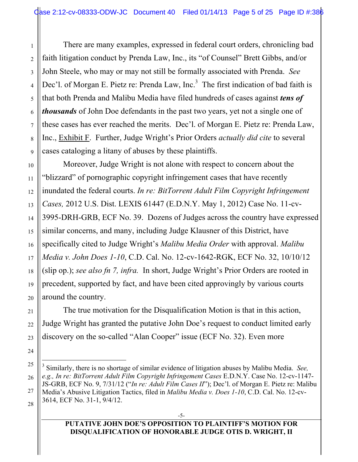There are many examples, expressed in federal court orders, chronicling bad faith litigation conduct by Prenda Law, Inc., its "of Counsel" Brett Gibbs, and/or John Steele, who may or may not still be formally associated with Prenda. *See*  Dec'l. of Morgan E. Pietz re: Prenda Law, Inc.<sup>3</sup> The first indication of bad faith is that both Prenda and Malibu Media have filed hundreds of cases against *tens of thousands* of John Doe defendants in the past two years, yet not a single one of these cases has ever reached the merits. Dec'l. of Morgan E. Pietz re: Prenda Law, Inc., Exhibit F. Further, Judge Wright's Prior Orders *actually did cite* to several cases cataloging a litany of abuses by these plaintiffs.

Moreover, Judge Wright is not alone with respect to concern about the "blizzard" of pornographic copyright infringement cases that have recently inundated the federal courts. *In re: BitTorrent Adult Film Copyright Infringement Cases,* 2012 U.S. Dist. LEXIS 61447 (E.D.N.Y. May 1, 2012) Case No. 11-cv-3995-DRH-GRB, ECF No. 39. Dozens of Judges across the country have expressed similar concerns, and many, including Judge Klausner of this District, have specifically cited to Judge Wright's *Malibu Media Order* with approval. *Malibu Media v. John Does 1-10*, C.D. Cal. No. 12-cv-1642-RGK, ECF No. 32, 10/10/12 (slip op.); *see also fn 7, infra.* In short, Judge Wright's Prior Orders are rooted in precedent, supported by fact, and have been cited approvingly by various courts around the country.

The true motivation for the Disqualification Motion is that in this action, Judge Wright has granted the putative John Doe's request to conduct limited early discovery on the so-called "Alan Cooper" issue (ECF No. 32). Even more

#### **PUTATIVE JOHN DOE'S OPPOSITION TO PLAINTIFF'S MOTION FOR DISQUALIFICATION OF HONORABLE JUDGE OTIS D. WRIGHT, II**

 <sup>3</sup> Similarly, there is no shortage of similar evidence of litigation abuses by Malibu Media. *See, e.g., In re: BitTorrent Adult Film Copyright Infringement Cases* E.D.N.Y. Case No. 12-cv-1147- JS-GRB, ECF No. 9, 7/31/12 ("*In re: Adult Film Cases II*"); Dec'l. of Morgan E. Pietz re: Malibu Media's Abusive Litigation Tactics, filed in *Malibu Media v. Does 1-10*, C.D. Cal. No. 12-cv-

<sup>3614,</sup> ECF No. 31-1, 9/4/12.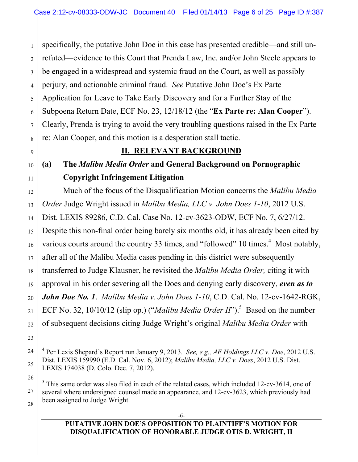specifically, the putative John Doe in this case has presented credible—and still unrefuted—evidence to this Court that Prenda Law, Inc. and/or John Steele appears to be engaged in a widespread and systemic fraud on the Court, as well as possibly perjury, and actionable criminal fraud. *See* Putative John Doe's Ex Parte Application for Leave to Take Early Discovery and for a Further Stay of the Subpoena Return Date, ECF No. 23, 12/18/12 (the "**Ex Parte re: Alan Cooper**"). Clearly, Prenda is trying to avoid the very troubling questions raised in the Ex Parte re: Alan Cooper, and this motion is a desperation stall tactic.

## **II. RELEVANT BACKGROUND**

## **(a) The** *Malibu Media Order* **and General Background on Pornographic Copyright Infringement Litigation**

Much of the focus of the Disqualification Motion concerns the *Malibu Media Order* Judge Wright issued in *Malibu Media, LLC v. John Does 1-10*, 2012 U.S. Dist. LEXIS 89286, C.D. Cal. Case No. 12-cv-3623-ODW, ECF No. 7, 6/27/12. Despite this non-final order being barely six months old, it has already been cited by various courts around the country 33 times, and "followed" 10 times.<sup>4</sup> Most notably, after all of the Malibu Media cases pending in this district were subsequently transferred to Judge Klausner, he revisited the *Malibu Media Order,* citing it with approval in his order severing all the Does and denying early discovery, *even as to John Doe No. 1*. *Malibu Media v. John Does 1-10*, C.D. Cal. No. 12-cv-1642-RGK, ECF No. 32,  $10/10/12$  (slip op.) ("*Malibu Media Order II*").<sup>5</sup> Based on the number of subsequent decisions citing Judge Wright's original *Malibu Media Order* with

1

2

 $\frac{1}{4}$  Per Lexis Shepard's Report run January 9, 2013. *See, e.g., AF Holdings LLC v. Doe*, 2012 U.S. Dist. LEXIS 159990 (E.D. Cal. Nov. 6, 2012); *Malibu Media, LLC v. Does*, 2012 U.S. Dist. LEXIS 174038 (D. Colo. Dec. 7, 2012).

 $<sup>5</sup>$  This same order was also filed in each of the related cases, which included 12-cv-3614, one of</sup> several where undersigned counsel made an appearance, and 12-cv-3623, which previously had been assigned to Judge Wright.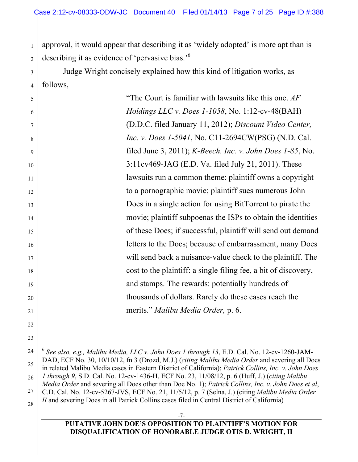1 2 approval, it would appear that describing it as 'widely adopted' is more apt than is describing it as evidence of 'pervasive bias.'<sup>6</sup>

Judge Wright concisely explained how this kind of litigation works, as follows,

3

4

5

6

7

8

9

10

11

12

13

14

15

16

17

18

19

20

21

22

23

"The Court is familiar with lawsuits like this one. *AF Holdings LLC v. Does 1-1058*, No. 1:12-cv-48(BAH) (D.D.C. filed January 11, 2012); *Discount Video Center, Inc. v. Does 1-5041*, No. C11-2694CW(PSG) (N.D. Cal. filed June 3, 2011); *K-Beech, Inc. v. John Does 1-85*, No. 3:11cv469-JAG (E.D. Va. filed July 21, 2011). These lawsuits run a common theme: plaintiff owns a copyright to a pornographic movie; plaintiff sues numerous John Does in a single action for using BitTorrent to pirate the movie; plaintiff subpoenas the ISPs to obtain the identities of these Does; if successful, plaintiff will send out demand letters to the Does; because of embarrassment, many Does will send back a nuisance-value check to the plaintiff. The cost to the plaintiff: a single filing fee, a bit of discovery, and stamps. The rewards: potentially hundreds of thousands of dollars. Rarely do these cases reach the merits." *Malibu Media Order,* p. 6.

24 25 26 27 28 6 *See also, e.g., Malibu Media, LLC v. John Does 1 through 13*, E.D. Cal. No. 12-cv-1260-JAM-DAD, ECF No. 30, 10/10/12, fn 3 (Drozd, M.J.) (*citing Malibu Media Order* and severing all Does in related Malibu Media cases in Eastern District of California); *Patrick Collins, Inc. v. John Does 1 through 9*, S.D. Cal. No. 12-cv-1436-H, ECF No. 23, 11/08/12, p. 6 (Huff, J.) (*citing Malibu Media Order* and severing all Does other than Doe No. 1); *Patrick Collins, Inc. v. John Does et al*, C.D. Cal. No. 12-cv-5267-JVS, ECF No. 21, 11/5/12, p. 7 (Selna, J.) (citing *Malibu Media Order II* and severing Does in all Patrick Collins cases filed in Central District of California)

> **PUTATIVE JOHN DOE'S OPPOSITION TO PLAINTIFF'S MOTION FOR DISQUALIFICATION OF HONORABLE JUDGE OTIS D. WRIGHT, II**

-7-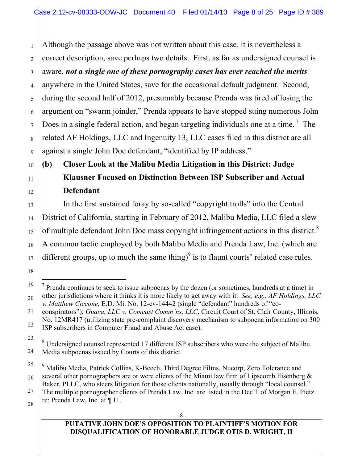1 2 3 4 5 6 7 8 9 Although the passage above was not written about this case, it is nevertheless a correct description, save perhaps two details. First, as far as undersigned counsel is aware, *not a single one of these pornography cases has ever reached the merits* anywhere in the United States, save for the occasional default judgment. Second, during the second half of 2012, presumably because Prenda was tired of losing the argument on "swarm joinder," Prenda appears to have stopped suing numerous John Does in a single federal action, and began targeting individuals one at a time.<sup>7</sup> The related AF Holdings, LLC and Ingenuity 13, LLC cases filed in this district are all against a single John Doe defendant, "identified by IP address."

# **(b) Closer Look at the Malibu Media Litigation in this District: Judge Klausner Focused on Distinction Between ISP Subscriber and Actual Defendant**

In the first sustained foray by so-called "copyright trolls" into the Central District of California, starting in February of 2012, Malibu Media, LLC filed a slew of multiple defendant John Doe mass copyright infringement actions in this district.<sup>8</sup> A common tactic employed by both Malibu Media and Prenda Law, Inc. (which are different groups, up to much the same thing) $\delta$  is to flaunt courts' related case rules.

 $<sup>7</sup>$  Prenda continues to seek to issue subpoenas by the dozen (or sometimes, hundreds at a time) in</sup> other jurisdictions where it thinks it is more likely to get away with it. *See, e.g., AF Holdings, LLC v. Matthew Ciccone,* E.D. Mi. No. 12-cv-14442 (single "defendant" hundreds of "co-

conspirators"); *Guava, LLC v. Comcast Comm'ns, LLC*, Circuit Court of St. Clair County, Illinois, No. 12MR417 (utilizing state pre-complaint discovery mechanism to subpoena information on 300 ISP subscribers in Computer Fraud and Abuse Act case).

 $8$  Undersigned counsel represented 17 different ISP subscribers who were the subject of Malibu Media subpoenas issued by Courts of this district.

<sup>&</sup>lt;sup>9</sup> Malibu Media, Patrick Collins, K-Beech, Third Degree Films, Nucorp, Zero Tolerance and several other pornographers are or were clients of the Miami law firm of Lipscomb Eisenberg  $\&$ Baker, PLLC, who steers litigation for those clients nationally, usually through "local counsel." The multiple pornographer clients of Prenda Law, Inc. are listed in the Dec'l. of Morgan E. Pietz re: Prenda Law, Inc. at ¶ 11.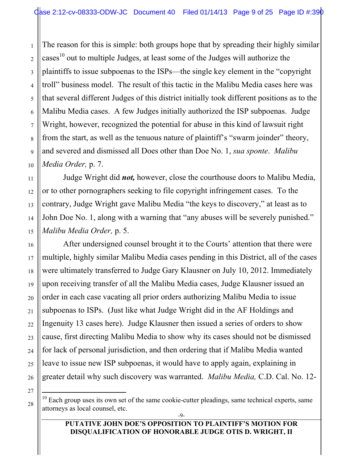The reason for this is simple: both groups hope that by spreading their highly similar cases<sup>10</sup> out to multiple Judges, at least some of the Judges will authorize the plaintiffs to issue subpoenas to the ISPs—the single key element in the "copyright troll" business model. The result of this tactic in the Malibu Media cases here was that several different Judges of this district initially took different positions as to the Malibu Media cases. A few Judges initially authorized the ISP subpoenas. Judge Wright, however, recognized the potential for abuse in this kind of lawsuit right from the start, as well as the tenuous nature of plaintiff's "swarm joinder" theory, and severed and dismissed all Does other than Doe No. 1, *sua sponte*. *Malibu Media Order,* p. 7.

Judge Wright did *not,* however, close the courthouse doors to Malibu Media, or to other pornographers seeking to file copyright infringement cases. To the contrary, Judge Wright gave Malibu Media "the keys to discovery," at least as to John Doe No. 1, along with a warning that "any abuses will be severely punished." *Malibu Media Order,* p. 5.

After undersigned counsel brought it to the Courts' attention that there were multiple, highly similar Malibu Media cases pending in this District, all of the cases were ultimately transferred to Judge Gary Klausner on July 10, 2012. Immediately upon receiving transfer of all the Malibu Media cases, Judge Klausner issued an order in each case vacating all prior orders authorizing Malibu Media to issue subpoenas to ISPs. (Just like what Judge Wright did in the AF Holdings and Ingenuity 13 cases here). Judge Klausner then issued a series of orders to show cause, first directing Malibu Media to show why its cases should not be dismissed for lack of personal jurisdiction, and then ordering that if Malibu Media wanted leave to issue new ISP subpoenas, it would have to apply again, explaining in greater detail why such discovery was warranted. *Malibu Media,* C.D. Cal. No. 12-

27 28

1

2

3

4

5

6

7

8

9

10

11

12

13

14

15

16

17

18

19

20

21

22

23

24

25

 $10<sup>10</sup>$  Each group uses its own set of the same cookie-cutter pleadings, same technical experts, same attorneys as local counsel, etc.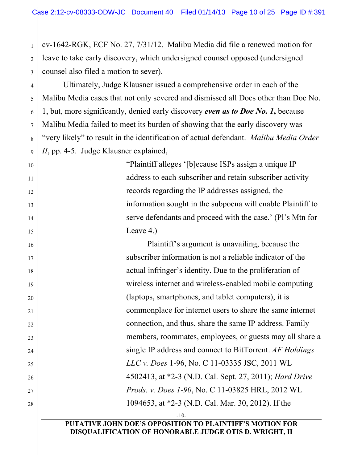cv-1642-RGK, ECF No. 27, 7/31/12. Malibu Media did file a renewed motion for leave to take early discovery, which undersigned counsel opposed (undersigned counsel also filed a motion to sever).

Ultimately, Judge Klausner issued a comprehensive order in each of the Malibu Media cases that not only severed and dismissed all Does other than Doe No. 1, but, more significantly, denied early discovery *even as to Doe No. 1***,** because Malibu Media failed to meet its burden of showing that the early discovery was "very likely" to result in the identification of actual defendant. *Malibu Media Order II*, pp. 4-5. Judge Klausner explained,

> "Plaintiff alleges '[b]ecause ISPs assign a unique IP address to each subscriber and retain subscriber activity records regarding the IP addresses assigned, the information sought in the subpoena will enable Plaintiff to serve defendants and proceed with the case.' (Pl's Mtn for Leave 4.)

Plaintiff's argument is unavailing, because the subscriber information is not a reliable indicator of the actual infringer's identity. Due to the proliferation of wireless internet and wireless-enabled mobile computing (laptops, smartphones, and tablet computers), it is commonplace for internet users to share the same internet connection, and thus, share the same IP address. Family members, roommates, employees, or guests may all share a single IP address and connect to BitTorrent. *AF Holdings LLC v. Does* 1-96, No. C 11-03335 JSC, 2011 WL 4502413, at \*2-3 (N.D. Cal. Sept. 27, 2011); *Hard Drive Prods. v. Does 1-90*, No. C 11-03825 HRL, 2012 WL 1094653, at \*2-3 (N.D. Cal. Mar. 30, 2012). If the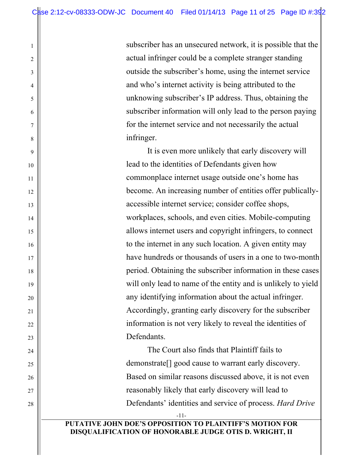1

2

3

4

5

6

7

8

9

10

11

12

13

14

15

16

17

18

19

20

21

22

23

24

25

26

27

28

subscriber has an unsecured network, it is possible that the actual infringer could be a complete stranger standing outside the subscriber's home, using the internet service and who's internet activity is being attributed to the unknowing subscriber's IP address. Thus, obtaining the subscriber information will only lead to the person paying for the internet service and not necessarily the actual infringer.

It is even more unlikely that early discovery will lead to the identities of Defendants given how commonplace internet usage outside one's home has become. An increasing number of entities offer publicallyaccessible internet service; consider coffee shops, workplaces, schools, and even cities. Mobile-computing allows internet users and copyright infringers, to connect to the internet in any such location. A given entity may have hundreds or thousands of users in a one to two-month period. Obtaining the subscriber information in these cases will only lead to name of the entity and is unlikely to yield any identifying information about the actual infringer. Accordingly, granting early discovery for the subscriber information is not very likely to reveal the identities of Defendants.

The Court also finds that Plaintiff fails to demonstrate[] good cause to warrant early discovery. Based on similar reasons discussed above, it is not even reasonably likely that early discovery will lead to Defendants' identities and service of process. *Hard Drive* 

-11-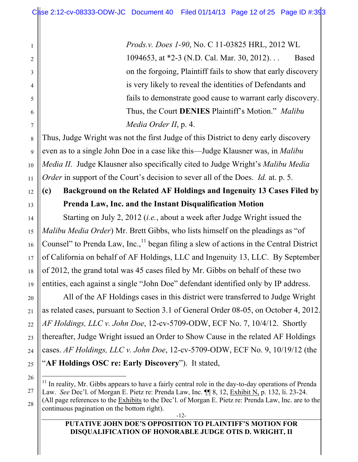*Prods.v. Does 1-90*, No. C 11-03825 HRL, 2012 WL 1094653, at \*2-3 (N.D. Cal. Mar. 30, 2012). . . Based on the forgoing, Plaintiff fails to show that early discovery is very likely to reveal the identities of Defendants and fails to demonstrate good cause to warrant early discovery. Thus, the Court **DENIES** Plaintiff's Motion." *Malibu Media Order II*, p. 4.

Thus, Judge Wright was not the first Judge of this District to deny early discovery even as to a single John Doe in a case like this—Judge Klausner was, in *Malibu Media II*. Judge Klausner also specifically cited to Judge Wright's *Malibu Media Order* in support of the Court's decision to sever all of the Does. *Id.* at. p. 5.

## **(c) Background on the Related AF Holdings and Ingenuity 13 Cases Filed by Prenda Law, Inc. and the Instant Disqualification Motion**

Starting on July 2, 2012 (*i.e.*, about a week after Judge Wright issued the *Malibu Media Order*) Mr. Brett Gibbs, who lists himself on the pleadings as "of Counsel" to Prenda Law, Inc., $<sup>11</sup>$  began filing a slew of actions in the Central District</sup> of California on behalf of AF Holdings, LLC and Ingenuity 13, LLC. By September of 2012, the grand total was 45 cases filed by Mr. Gibbs on behalf of these two entities, each against a single "John Doe" defendant identified only by IP address.

All of the AF Holdings cases in this district were transferred to Judge Wright as related cases, pursuant to Section 3.1 of General Order 08-05, on October 4, 2012. *AF Holdings, LLC v. John Doe*, 12-cv-5709-ODW, ECF No. 7, 10/4/12. Shortly thereafter, Judge Wright issued an Order to Show Cause in the related AF Holdings cases. *AF Holdings, LLC v. John Doe*, 12-cv-5709-ODW, ECF No. 9, 10/19/12 (the "**AF Holdings OSC re: Early Discovery**"). It stated,

 $11$  In reality, Mr. Gibbs appears to have a fairly central role in the day-to-day operations of Prenda Law. *See* Dec'l. of Morgan E. Pietz re: Prenda Law, Inc. ¶¶ 8, 12, Exhibit N, p. 132, li. 23-24. (All page references to the Exhibits to the Dec'l. of Morgan E. Pietz re: Prenda Law, Inc. are to the continuous pagination on the bottom right).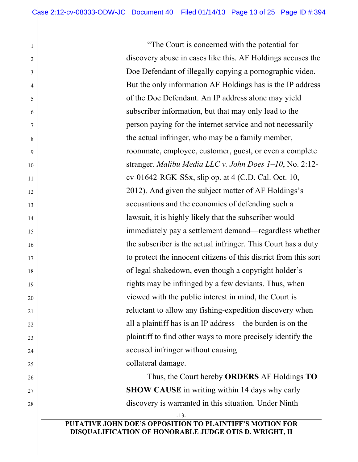1

2

3

4

5

6

7

8

9

10

11

12

13

14

15

16

17

18

19

20

21

22

23

24

25

26

27

28

"The Court is concerned with the potential for discovery abuse in cases like this. AF Holdings accuses the Doe Defendant of illegally copying a pornographic video. But the only information AF Holdings has is the IP address of the Doe Defendant. An IP address alone may yield subscriber information, but that may only lead to the person paying for the internet service and not necessarily the actual infringer, who may be a family member, roommate, employee, customer, guest, or even a complete stranger. *Malibu Media LLC v. John Does 1–10*, No. 2:12  $cv-01642-RGK-SSx$ , slip op. at  $4$  (C.D. Cal. Oct. 10, 2012). And given the subject matter of AF Holdings's accusations and the economics of defending such a lawsuit, it is highly likely that the subscriber would immediately pay a settlement demand—regardless whether the subscriber is the actual infringer. This Court has a duty to protect the innocent citizens of this district from this sort of legal shakedown, even though a copyright holder's rights may be infringed by a few deviants. Thus, when viewed with the public interest in mind, the Court is reluctant to allow any fishing-expedition discovery when all a plaintiff has is an IP address—the burden is on the plaintiff to find other ways to more precisely identify the accused infringer without causing collateral damage.

Thus, the Court hereby **ORDERS** AF Holdings **TO SHOW CAUSE** in writing within 14 days why early discovery is warranted in this situation. Under Ninth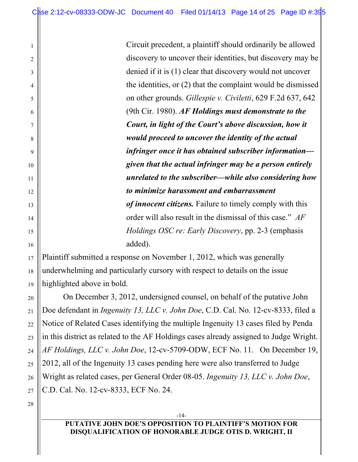Circuit precedent, a plaintiff should ordinarily be allowed discovery to uncover their identities, but discovery may be denied if it is (1) clear that discovery would not uncover the identities, or (2) that the complaint would be dismissed on other grounds. *Gillespie v. Civiletti*, 629 F.2d 637, 642 (9th Cir. 1980). *AF Holdings must demonstrate to the Court, in light of the Court's above discussion, how it would proceed to uncover the identity of the actual infringer once it has obtained subscriber information given that the actual infringer may be a person entirely unrelated to the subscriber—while also considering how to minimize harassment and embarrassment of innocent citizens.* Failure to timely comply with this order will also result in the dismissal of this case." *AF Holdings OSC re: Early Discovery*, pp. 2-3 (emphasis added).

Plaintiff submitted a response on November 1, 2012, which was generally underwhelming and particularly cursory with respect to details on the issue highlighted above in bold.

On December 3, 2012, undersigned counsel, on behalf of the putative John Doe defendant in *Ingenuity 13, LLC v. John Doe*, C.D. Cal. No. 12-cv-8333, filed a Notice of Related Cases identifying the multiple Ingenuity 13 cases filed by Penda in this district as related to the AF Holdings cases already assigned to Judge Wright. *AF Holdings, LLC v. John Doe*, 12-cv-5709-ODW, ECF No. 11. On December 19, 2012, all of the Ingenuity 13 cases pending here were also transferred to Judge Wright as related cases, per General Order 08-05. *Ingenuity 13, LLC v. John Doe*, C.D. Cal. No. 12-cv-8333, ECF No. 24.

28

1

2

3

4

5

6

7

8

9

10

11

12

13

14

15

16

17

18

19

20

21

22

23

24

25

26

27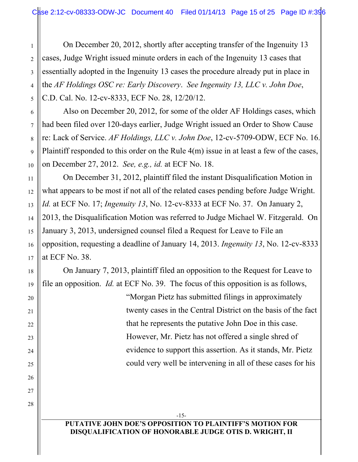On December 20, 2012, shortly after accepting transfer of the Ingenuity 13 cases, Judge Wright issued minute orders in each of the Ingenuity 13 cases that essentially adopted in the Ingenuity 13 cases the procedure already put in place in the *AF Holdings OSC re: Early Discovery*. *See Ingenuity 13, LLC v. John Doe*, C.D. Cal. No. 12-cv-8333, ECF No. 28, 12/20/12.

Also on December 20, 2012, for some of the older AF Holdings cases, which had been filed over 120-days earlier, Judge Wright issued an Order to Show Cause re: Lack of Service. *AF Holdings, LLC v. John Doe*, 12-cv-5709-ODW, ECF No. 16. Plaintiff responded to this order on the Rule 4(m) issue in at least a few of the cases, on December 27, 2012. *See, e.g., id.* at ECF No. 18.

On December 31, 2012, plaintiff filed the instant Disqualification Motion in what appears to be most if not all of the related cases pending before Judge Wright. *Id.* at ECF No. 17; *Ingenuity 13*, No. 12-cv-8333 at ECF No. 37. On January 2, 2013, the Disqualification Motion was referred to Judge Michael W. Fitzgerald. On January 3, 2013, undersigned counsel filed a Request for Leave to File an opposition, requesting a deadline of January 14, 2013. *Ingenuity 13*, No. 12-cv-8333 at ECF No. 38.

On January 7, 2013, plaintiff filed an opposition to the Request for Leave to file an opposition. *Id.* at ECF No. 39. The focus of this opposition is as follows,

> "Morgan Pietz has submitted filings in approximately twenty cases in the Central District on the basis of the fact that he represents the putative John Doe in this case. However, Mr. Pietz has not offered a single shred of evidence to support this assertion. As it stands, Mr. Pietz could very well be intervening in all of these cases for his

#### -15- **PUTATIVE JOHN DOE'S OPPOSITION TO PLAINTIFF'S MOTION FOR DISQUALIFICATION OF HONORABLE JUDGE OTIS D. WRIGHT, II**

1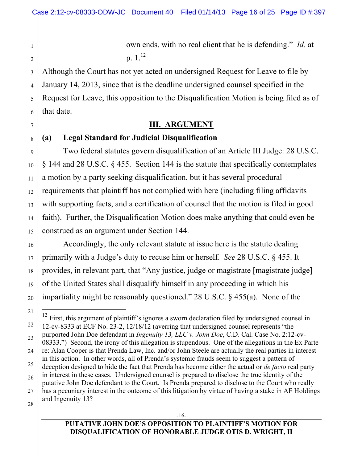own ends, with no real client that he is defending." *Id.* at p.  $1.^{12}$ 

Although the Court has not yet acted on undersigned Request for Leave to file by January 14, 2013, since that is the deadline undersigned counsel specified in the Request for Leave, this opposition to the Disqualification Motion is being filed as of that date.

#### **III. ARGUMENT**

#### **(a) Legal Standard for Judicial Disqualification**

Two federal statutes govern disqualification of an Article III Judge: 28 U.S.C. § 144 and 28 U.S.C. § 455. Section 144 is the statute that specifically contemplates a motion by a party seeking disqualification, but it has several procedural requirements that plaintiff has not complied with here (including filing affidavits with supporting facts, and a certification of counsel that the motion is filed in good faith). Further, the Disqualification Motion does make anything that could even be construed as an argument under Section 144.

Accordingly, the only relevant statute at issue here is the statute dealing primarily with a Judge's duty to recuse him or herself. *See* 28 U.S.C. § 455. It provides, in relevant part, that "Any justice, judge or magistrate [magistrate judge] of the United States shall disqualify himself in any proceeding in which his impartiality might be reasonably questioned." 28 U.S.C. § 455(a). None of the

#### **PUTATIVE JOHN DOE'S OPPOSITION TO PLAINTIFF'S MOTION FOR DISQUALIFICATION OF HONORABLE JUDGE OTIS D. WRIGHT, II**

<sup>28</sup>  $12$  First, this argument of plaintiff's ignores a sworn declaration filed by undersigned counsel in 12-cv-8333 at ECF No. 23-2, 12/18/12 (averring that undersigned counsel represents "the purported John Doe defendant in *Ingenuity 13, LLC v. John Doe*, C.D. Cal. Case No. 2:12-cv-08333.") Second, the irony of this allegation is stupendous. One of the allegations in the Ex Parte re: Alan Cooper is that Prenda Law, Inc. and/or John Steele are actually the real parties in interest in this action. In other words, all of Prenda's systemic frauds seem to suggest a pattern of deception designed to hide the fact that Prenda has become either the actual or *de facto* real party in interest in these cases. Undersigned counsel is prepared to disclose the true identity of the putative John Doe defendant to the Court. Is Prenda prepared to disclose to the Court who really has a pecuniary interest in the outcome of this litigation by virtue of having a stake in AF Holdings and Ingenuity 13?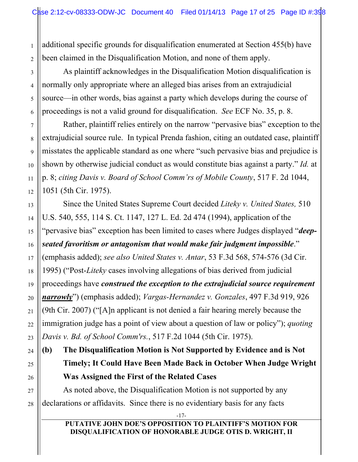1 2 additional specific grounds for disqualification enumerated at Section 455(b) have been claimed in the Disqualification Motion, and none of them apply.

As plaintiff acknowledges in the Disqualification Motion disqualification is normally only appropriate where an alleged bias arises from an extrajudicial source—in other words, bias against a party which develops during the course of proceedings is not a valid ground for disqualification. *See* ECF No. 35, p. 8.

Rather, plaintiff relies entirely on the narrow "pervasive bias" exception to the extrajudicial source rule. In typical Prenda fashion, citing an outdated case, plaintiff misstates the applicable standard as one where "such pervasive bias and prejudice is shown by otherwise judicial conduct as would constitute bias against a party." *Id.* at p. 8; *citing Davis v. Board of School Comm'rs of Mobile County*, 517 F. 2d 1044, 1051 (5th Cir. 1975).

Since the United States Supreme Court decided *Liteky v. United States,* 510 U.S. 540, 555, 114 S. Ct. 1147, 127 L. Ed. 2d 474 (1994), application of the "pervasive bias" exception has been limited to cases where Judges displayed "*deepseated favoritism or antagonism that would make fair judgment impossible*." (emphasis added); *see also United States v. Antar*, 53 F.3d 568, 574-576 (3d Cir. 1995) ("Post-*Liteky* cases involving allegations of bias derived from judicial proceedings have *construed the exception to the extrajudicial source requirement narrowly*") (emphasis added); *Vargas-Hernandez v. Gonzales*, 497 F.3d 919, 926 (9th Cir. 2007) ("[A]n applicant is not denied a fair hearing merely because the immigration judge has a point of view about a question of law or policy"); *quoting Davis v. Bd. of School Comm'rs.*, 517 F.2d 1044 (5th Cir. 1975).

**(b) The Disqualification Motion is Not Supported by Evidence and is Not Timely; It Could Have Been Made Back in October When Judge Wright Was Assigned the First of the Related Cases**

As noted above, the Disqualification Motion is not supported by any declarations or affidavits. Since there is no evidentiary basis for any facts

3

4

5

6

7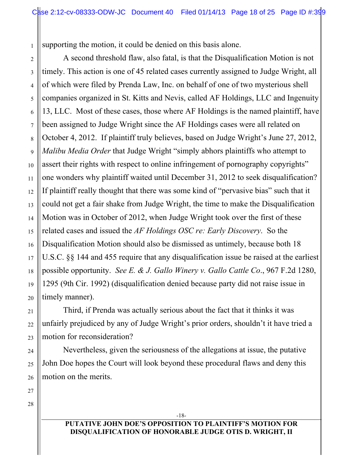1 supporting the motion, it could be denied on this basis alone.

12 14 16 A second threshold flaw, also fatal, is that the Disqualification Motion is not timely. This action is one of 45 related cases currently assigned to Judge Wright, all of which were filed by Prenda Law, Inc. on behalf of one of two mysterious shell companies organized in St. Kitts and Nevis, called AF Holdings, LLC and Ingenuity 13, LLC. Most of these cases, those where AF Holdings is the named plaintiff, have been assigned to Judge Wright since the AF Holdings cases were all related on October 4, 2012. If plaintiff truly believes, based on Judge Wright's June 27, 2012, *Malibu Media Order* that Judge Wright "simply abhors plaintiffs who attempt to assert their rights with respect to online infringement of pornography copyrights" one wonders why plaintiff waited until December 31, 2012 to seek disqualification? If plaintiff really thought that there was some kind of "pervasive bias" such that it could not get a fair shake from Judge Wright, the time to make the Disqualification Motion was in October of 2012, when Judge Wright took over the first of these related cases and issued the *AF Holdings OSC re: Early Discovery*. So the Disqualification Motion should also be dismissed as untimely, because both 18 U.S.C. §§ 144 and 455 require that any disqualification issue be raised at the earliest possible opportunity. *See E. & J. Gallo Winery v. Gallo Cattle Co*., 967 F.2d 1280, 1295 (9th Cir. 1992) (disqualification denied because party did not raise issue in timely manner).

Third, if Prenda was actually serious about the fact that it thinks it was unfairly prejudiced by any of Judge Wright's prior orders, shouldn't it have tried a motion for reconsideration?

Nevertheless, given the seriousness of the allegations at issue, the putative John Doe hopes the Court will look beyond these procedural flaws and deny this motion on the merits.

28

2

3

4

5

6

7

8

9

10

11

13

15

17

18

19

20

21

22

23

24

25

26

27

-18-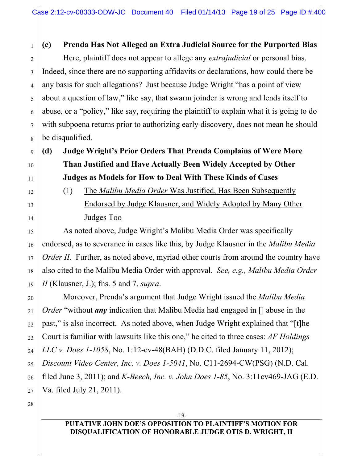#### **(c) Prenda Has Not Alleged an Extra Judicial Source for the Purported Bias**

Here, plaintiff does not appear to allege any *extrajudicial* or personal bias. Indeed, since there are no supporting affidavits or declarations, how could there be any basis for such allegations? Just because Judge Wright "has a point of view about a question of law," like say, that swarm joinder is wrong and lends itself to abuse, or a "policy," like say, requiring the plaintiff to explain what it is going to do with subpoena returns prior to authorizing early discovery, does not mean he should be disqualified.

# **(d) Judge Wright's Prior Orders That Prenda Complains of Were More Than Justified and Have Actually Been Widely Accepted by Other Judges as Models for How to Deal With These Kinds of Cases**

(1) The *Malibu Media Order* Was Justified, Has Been Subsequently Endorsed by Judge Klausner, and Widely Adopted by Many Other Judges Too

As noted above, Judge Wright's Malibu Media Order was specifically endorsed, as to severance in cases like this, by Judge Klausner in the *Malibu Media Order II.* Further, as noted above, myriad other courts from around the country have also cited to the Malibu Media Order with approval. *See, e.g., Malibu Media Order II* (Klausner, J.); fns. 5 and 7, *supra*.

Moreover, Prenda's argument that Judge Wright issued the *Malibu Media Order* "without *any* indication that Malibu Media had engaged in [] abuse in the past," is also incorrect. As noted above, when Judge Wright explained that "[t]he Court is familiar with lawsuits like this one," he cited to three cases: *AF Holdings LLC v. Does 1-1058*, No. 1:12-cv-48(BAH) (D.D.C. filed January 11, 2012); *Discount Video Center, Inc. v. Does 1-5041*, No. C11-2694-CW(PSG) (N.D. Cal. filed June 3, 2011); and *K-Beech, Inc. v. John Does 1-85*, No. 3:11cv469-JAG (E.D. Va. filed July 21, 2011).

28

1

2

3

4

5

6

7

8

9

10

11

12

13

14

15

16

17

18

19

20

21

22

23

24

25

26

27

-19-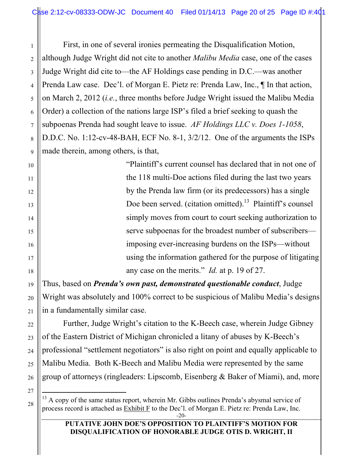1 2 3 4 5 6 7 8 9 First, in one of several ironies permeating the Disqualification Motion, although Judge Wright did not cite to another *Malibu Media* case, one of the cases Judge Wright did cite to—the AF Holdings case pending in D.C.—was another Prenda Law case. Dec'l. of Morgan E. Pietz re: Prenda Law, Inc., ¶ In that action, on March 2, 2012 (*i.e.*, three months before Judge Wright issued the Malibu Media Order) a collection of the nations large ISP's filed a brief seeking to quash the subpoenas Prenda had sought leave to issue. *AF Holdings LLC v. Does 1-1058*, D.D.C. No. 1:12-cv-48-BAH, ECF No. 8-1, 3/2/12. One of the arguments the ISPs made therein, among others, is that,

> "Plaintiff's current counsel has declared that in not one of the 118 multi-Doe actions filed during the last two years by the Prenda law firm (or its predecessors) has a single Doe been served. (citation omitted).<sup>13</sup> Plaintiff's counsel simply moves from court to court seeking authorization to serve subpoenas for the broadest number of subscribers imposing ever-increasing burdens on the ISPs—without using the information gathered for the purpose of litigating any case on the merits." *Id.* at p. 19 of 27.

Thus, based on *Prenda's own past, demonstrated questionable conduct*, Judge Wright was absolutely and 100% correct to be suspicious of Malibu Media's designs in a fundamentally similar case.

Further, Judge Wright's citation to the K-Beech case, wherein Judge Gibney of the Eastern District of Michigan chronicled a litany of abuses by K-Beech's professional "settlement negotiators" is also right on point and equally applicable to Malibu Media. Both K-Beech and Malibu Media were represented by the same group of attorneys (ringleaders: Lipscomb, Eisenberg & Baker of Miami), and, more

26 27

28

10

11

12

13

14

15

16

17

18

19

20

21

22

23

24

 $13$  A copy of the same status report, wherein Mr. Gibbs outlines Prenda's abysmal service of process record is attached as  $\overline{\text{Exhibit F}}$  to the Dec'l. of Morgan E. Pietz re: Prenda Law, Inc.

<sup>-20-</sup>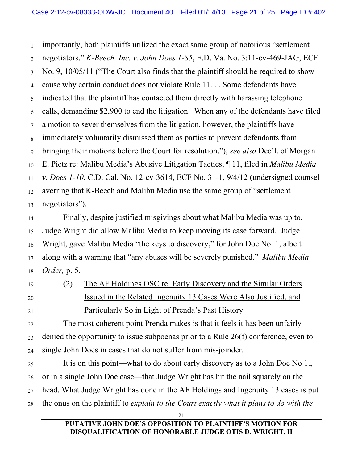1 2 3 4 5 6 7 importantly, both plaintiffs utilized the exact same group of notorious "settlement negotiators." *K-Beech, Inc. v. John Does 1-85*, E.D. Va. No. 3:11-cv-469-JAG, ECF No. 9, 10/05/11 ("The Court also finds that the plaintiff should be required to show cause why certain conduct does not violate Rule 11. . . Some defendants have indicated that the plaintiff has contacted them directly with harassing telephone calls, demanding \$2,900 to end the litigation. When any of the defendants have filed a motion to sever themselves from the litigation, however, the plaintiffs have immediately voluntarily dismissed them as parties to prevent defendants from bringing their motions before the Court for resolution."); *see also* Dec'l. of Morgan E. Pietz re: Malibu Media's Abusive Litigation Tactics, ¶ 11, filed in *Malibu Media v. Does 1-10*, C.D. Cal. No. 12-cv-3614, ECF No. 31-1, 9/4/12 (undersigned counsel averring that K-Beech and Malibu Media use the same group of "settlement negotiators").

Finally, despite justified misgivings about what Malibu Media was up to, Judge Wright did allow Malibu Media to keep moving its case forward. Judge Wright, gave Malibu Media "the keys to discovery," for John Doe No. 1, albeit along with a warning that "any abuses will be severely punished." *Malibu Media Order,* p. 5.

(2) The AF Holdings OSC re: Early Discovery and the Similar Orders Issued in the Related Ingenuity 13 Cases Were Also Justified, and Particularly So in Light of Prenda's Past History

The most coherent point Prenda makes is that it feels it has been unfairly denied the opportunity to issue subpoenas prior to a Rule 26(f) conference, even to single John Does in cases that do not suffer from mis-joinder.

It is on this point—what to do about early discovery as to a John Doe No 1., or in a single John Doe case—that Judge Wright has hit the nail squarely on the head. What Judge Wright has done in the AF Holdings and Ingenuity 13 cases is put the onus on the plaintiff to *explain to the Court exactly what it plans to do with the* 

-21- **PUTATIVE JOHN DOE'S OPPOSITION TO PLAINTIFF'S MOTION FOR DISQUALIFICATION OF HONORABLE JUDGE OTIS D. WRIGHT, II**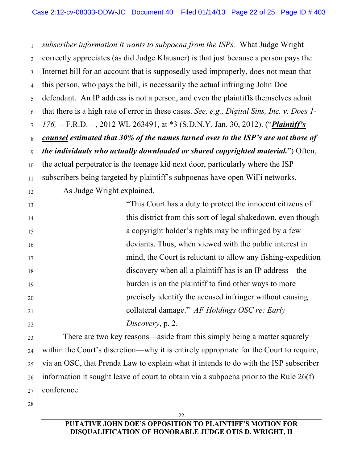2 3 4 5 6 7 8 9 10 11 12 *subscriber information it wants to subpoena from the ISPs.* What Judge Wright correctly appreciates (as did Judge Klausner) is that just because a person pays the Internet bill for an account that is supposedly used improperly, does not mean that this person, who pays the bill, is necessarily the actual infringing John Doe defendant. An IP address is not a person, and even the plaintiffs themselves admit that there is a high rate of error in these cases. *See, e.g., Digital Sins, Inc. v. Does 1- 176,* -- F.R.D. --, 2012 WL 263491, at \*3 (S.D.N.Y. Jan. 30, 2012). ("*Plaintiff's counsel estimated that 30% of the names turned over to the ISP's are not those of the individuals who actually downloaded or shared copyrighted material.*") Often, the actual perpetrator is the teenage kid next door, particularly where the ISP subscribers being targeted by plaintiff's subpoenas have open WiFi networks. As Judge Wright explained,

> "This Court has a duty to protect the innocent citizens of this district from this sort of legal shakedown, even though a copyright holder's rights may be infringed by a few deviants. Thus, when viewed with the public interest in mind, the Court is reluctant to allow any fishing-expedition discovery when all a plaintiff has is an IP address—the burden is on the plaintiff to find other ways to more precisely identify the accused infringer without causing collateral damage." *AF Holdings OSC re: Early Discovery*, p. 2.

There are two key reasons—aside from this simply being a matter squarely within the Court's discretion—why it is entirely appropriate for the Court to require, via an OSC, that Prenda Law to explain what it intends to do with the ISP subscriber information it sought leave of court to obtain via a subpoena prior to the Rule 26(f) conference.

28

1

13

14

15

16

17

18

19

20

21

22

23

24

25

26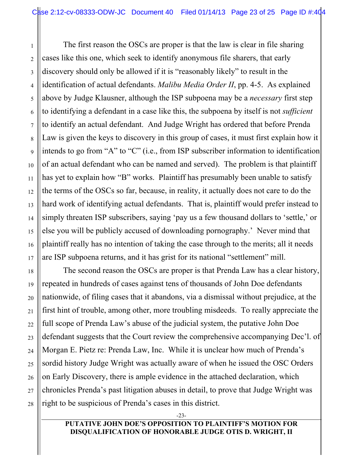The first reason the OSCs are proper is that the law is clear in file sharing cases like this one, which seek to identify anonymous file sharers, that early discovery should only be allowed if it is "reasonably likely" to result in the identification of actual defendants. *Malibu Media Order II*, pp. 4-5. As explained above by Judge Klausner, although the ISP subpoena may be a *necessary* first step to identifying a defendant in a case like this, the subpoena by itself is not *sufficient*  to identify an actual defendant. And Judge Wright has ordered that before Prenda Law is given the keys to discovery in this group of cases, it must first explain how it intends to go from "A" to "C" (i.e., from ISP subscriber information to identification of an actual defendant who can be named and served). The problem is that plaintiff has yet to explain how "B" works. Plaintiff has presumably been unable to satisfy the terms of the OSCs so far, because, in reality, it actually does not care to do the hard work of identifying actual defendants. That is, plaintiff would prefer instead to simply threaten ISP subscribers, saying 'pay us a few thousand dollars to 'settle,' or else you will be publicly accused of downloading pornography.' Never mind that plaintiff really has no intention of taking the case through to the merits; all it needs are ISP subpoena returns, and it has grist for its national "settlement" mill.

The second reason the OSCs are proper is that Prenda Law has a clear history, repeated in hundreds of cases against tens of thousands of John Doe defendants nationwide, of filing cases that it abandons, via a dismissal without prejudice, at the first hint of trouble, among other, more troubling misdeeds. To really appreciate the full scope of Prenda Law's abuse of the judicial system, the putative John Doe defendant suggests that the Court review the comprehensive accompanying Dec'l. of Morgan E. Pietz re: Prenda Law, Inc. While it is unclear how much of Prenda's sordid history Judge Wright was actually aware of when he issued the OSC Orders on Early Discovery, there is ample evidence in the attached declaration, which chronicles Prenda's past litigation abuses in detail, to prove that Judge Wright was right to be suspicious of Prenda's cases in this district.

-23-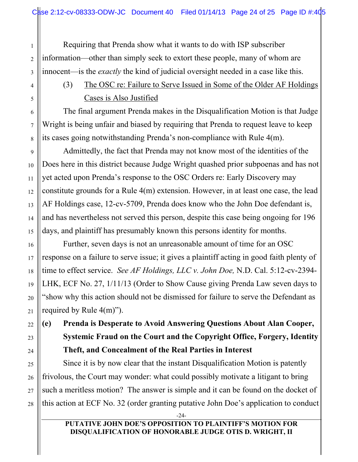Requiring that Prenda show what it wants to do with ISP subscriber information—other than simply seek to extort these people, many of whom are innocent—is the *exactly* the kind of judicial oversight needed in a case like this.

(3) The OSC re: Failure to Serve Issued in Some of the Older AF Holdings Cases is Also Justified

The final argument Prenda makes in the Disqualification Motion is that Judge Wright is being unfair and biased by requiring that Prenda to request leave to keep its cases going notwithstanding Prenda's non-compliance with Rule 4(m).

Admittedly, the fact that Prenda may not know most of the identities of the Does here in this district because Judge Wright quashed prior subpoenas and has not yet acted upon Prenda's response to the OSC Orders re: Early Discovery may constitute grounds for a Rule 4(m) extension. However, in at least one case, the lead AF Holdings case, 12-cv-5709, Prenda does know who the John Doe defendant is, and has nevertheless not served this person, despite this case being ongoing for 196 days, and plaintiff has presumably known this persons identity for months.

Further, seven days is not an unreasonable amount of time for an OSC response on a failure to serve issue; it gives a plaintiff acting in good faith plenty of time to effect service. *See AF Holdings, LLC v. John Doe,* N.D. Cal. 5:12-cv-2394- LHK, ECF No. 27, 1/11/13 (Order to Show Cause giving Prenda Law seven days to "show why this action should not be dismissed for failure to serve the Defendant as required by Rule 4(m)").

**(e) Prenda is Desperate to Avoid Answering Questions About Alan Cooper, Systemic Fraud on the Court and the Copyright Office, Forgery, Identity Theft, and Concealment of the Real Parties in Interest**

Since it is by now clear that the instant Disqualification Motion is patently frivolous, the Court may wonder: what could possibly motivate a litigant to bring such a meritless motion? The answer is simple and it can be found on the docket of this action at ECF No. 32 (order granting putative John Doe's application to conduct

-24-

#### **PUTATIVE JOHN DOE'S OPPOSITION TO PLAINTIFF'S MOTION FOR DISQUALIFICATION OF HONORABLE JUDGE OTIS D. WRIGHT, II**

1